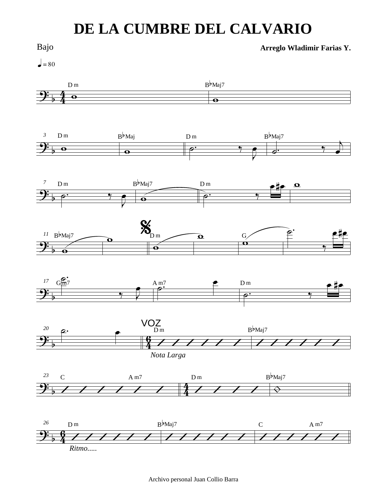## **DE LA CUMBRE DEL CALVARIO**



Archivo personal Juan Collio Barra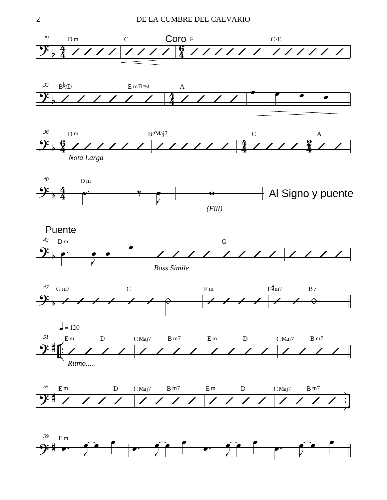